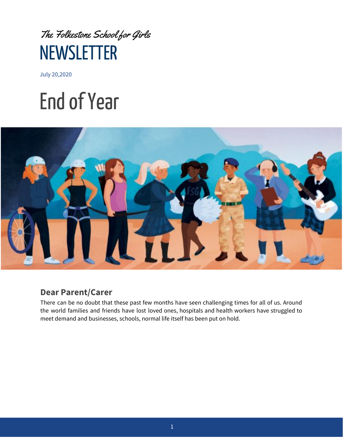

July 20,2020

# Endof Year



#### **Dear Parent/Carer**

There can be no doubt that these past few months have seen challenging times for all of us. Around the world families and friends have lost loved ones, hospitals and health workers have struggled to meet demand and businesses, schools, normal life itself has been put on hold.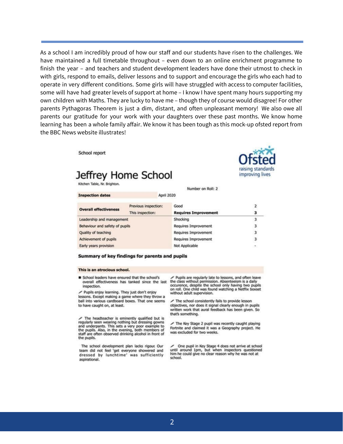As a school I am incredibly proud of how our staff and our students have risen to the challenges. We have maintained a full timetable throughout – even down to an online enrichment programme to finish the year – and teachers and student development leaders have done their utmost to check in with girls, respond to emails, deliver lessons and to support and encourage the girls who each had to operate in very different conditions. Some girls will have struggled with access to computer facilities, some will have had greater levels of support at home – I know I have spent many hours supporting my own children with Maths. They are lucky to have me – though they of course would disagree! For other parents Pythagoras Theorem is just a dim, distant, and often unpleasant memory! We also owe all parents our gratitude for your work with your daughters over these past months. We know home learning has been a whole family affair. We know it has been tough as this mock-up ofsted report from the BBC News website illustrates!

School report

Inconcritor datas

#### Jeffrey Home School

Kitchen Table, Nr. Brighton.

Number on Roll: 2

raising standard

improving lives

| as no processes in the con-    | <b>Little Little Street in College</b> |                             |                         |
|--------------------------------|----------------------------------------|-----------------------------|-------------------------|
| <b>Overall effectiveness</b>   | Previous inspection:                   | Good                        | 2                       |
|                                | This inspection:                       | <b>Requires Improvement</b> |                         |
| Leadership and management      |                                        | Shocking                    |                         |
| Behaviour and safety of pupils |                                        | <b>Requires Improvement</b> | з                       |
| Quality of teaching            |                                        | <b>Requires Improvement</b> | з                       |
| Achievement of pupils          |                                        | Requires Improvement        | $\overline{\mathbf{3}}$ |
| Early years provision          |                                        | Not Applicable              | ÷                       |

Angil 2020

#### Summary of key findings for parents and pupils

#### This is an atrocious school.

School leaders have ensured that the school's overall effectiveness has tanked since the last the class without permission. Absenteeism is a daily inspection.

Pupils enjoy learning. They just don't enjoy lessons. Except making a game where they throw a ball into various cardboard boxes. That one seems to have caught on, at least.

The headteacher is eminently qualified but is regularly seen wearing nothing but dressing gowns<br>and underpants. This sets a very poor example to<br>the pupils. Also, in the evening, both members of staff are often observed drinking alcohol in front of the pupils.

The school development plan lacks rigour. Our team did not feel 'get everyone showered and dressed by lunchtime' was sufficiently aspirational.

Pupils are regularly late to lessons, and often leave occurence, despite the school only having two pupils on roll. One child was found watching a Netflix boxset without adult supervision.

The school consistently fails to provide lesson objectives, nor does it signal clearly enough in pupils written work that aural feedback has been given. So that's something.

The Key Stage 2 pupil was recently caught playing Fortnite and claimed it was a Geography project. He was excluded for two weeks.

One pupil in Key Stage 4 does not arrive at school until around 1pm, but when inspectors questioned<br>him he could give no clear reason why he was not at school.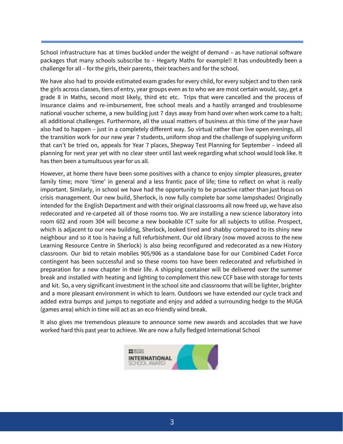School infrastructure has at times buckled under the weight of demand – as have national software packages that many schools subscribe to – Hegarty Maths for example!! It has undoubtedly been a challenge for all – for the girls, their parents, their teachers and for the school.

We have also had to provide estimated exam grades for every child, for every subject and to then rank the girls across classes, tiers of entry, year groups even as to who we are most certain would, say, get a grade 8 in Maths, second most likely, third etc etc. Trips that were cancelled and the process of insurance claims and re-imbursement, free school meals and a hastily arranged and troublesome national voucher scheme, a new building just 7 days away from hand over when work came to a halt; all additional challenges. Furthermore, all the usual matters of business at this time of the year have also had to happen – just in a completely different way. So virtual rather than live open evenings, all the transition work for our new year 7 students, uniform shop and the challenge of supplying uniform that can't be tried on, appeals for Year 7 places, Shepway Test Planning for September – indeed all planning for next year yet with no clear steer until last week regarding what school would look like. It has then been a tumultuous year for us all.

However, at home there have been some positives with a chance to enjoy simpler pleasures, greater family time; more 'time' in general and a less frantic pace of life; time to reflect on what is really important. Similarly, in school we have had the opportunity to be proactive rather than just focus on crisis management. Our new build, Sherlock, is now fully complete bar some lampshades! Originally intended for the English Department and with their original classrooms all now freed up, we have also redecorated and re-carpeted all of those rooms too. We are installing a new science laboratory into room 602 and room 304 will become a new bookable ICT suite for all subjects to utilise. Prospect, which is adjacent to our new building, Sherlock, looked tired and shabby compared to its shiny new neighbour and so it too is having a full refurbishment. Our old library (now moved across to the new Learning Resource Centre in Sherlock) is also being reconfigured and redecorated as a new History classroom. Our bid to retain mobiles 905/906 as a standalone base for our Combined Cadet Force contingent has been successful and so these rooms too have been redecorated and refurbished in preparation for a new chapter in their life. A shipping container will be delivered over the summer break and installed with heating and lighting to complement this new CCF base with storage for tents and kit. So, a very significant investment in the school site and classrooms that will be lighter, brighter and a more pleasant environment in which to learn. Outdoors we have extended our cycle track and added extra bumps and jumps to negotiate and enjoy and added a surrounding hedge to the MUGA (games area) which in time will act as an eco-friendly wind break.

It also gives me tremendous pleasure to announce some new awards and accolades that we have worked hard this past year to achieve. We are now a fully fledged International School

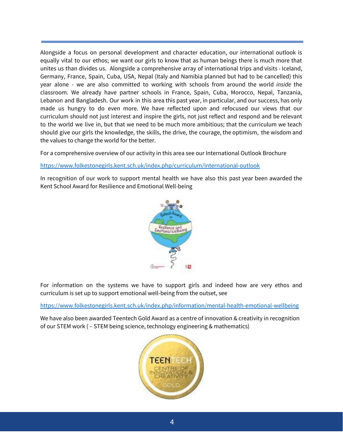Alongside a focus on personal development and character education, our international outlook is equally vital to our ethos; we want our girls to know that as human beings there is much more that unites us than divides us. Alongside a comprehensive array of international trips and visits - Iceland, Germany, France, Spain, Cuba, USA, Nepal (Italy and Namibia planned but had to be cancelled) this year alone - we are also committed to working with schools from around the world *inside* the classroom. We already have partner schools in France, Spain, Cuba, Morocco, Nepal, Tanzania, Lebanon and Bangladesh. Our work in this area this past year, in particular, and our success, has only made us hungry to do even more. We have reflected upon and refocused our views that our curriculum should not just interest and inspire the girls, not just reflect and respond and be relevant to the world we live in, but that we need to be much more ambitious; that the curriculum we teach should give our girls the knowledge, the skills, the drive, the courage, the optimism, the wisdom and the values to change the world for the better.

For a comprehensive overview of our activity in this area see our International Outlook Brochure

#### <https://www.folkestonegirls.kent.sch.uk/index.php/curriculum/international-outlook>

In recognition of our work to support mental health we have also this past year been awarded the Kent School Award for Resilience and Emotional Well-being



For information on the systems we have to support girls and indeed how are very ethos and curriculum is set up to support emotional well-being from the outset, see

<https://www.folkestonegirls.kent.sch.uk/index.php/information/mental-health-emotional-wellbeing>

We have also been awarded Teentech Gold Award as a centre of innovation & creativity in recognition of our STEM work ( – STEM being science, technology engineering & mathematics)

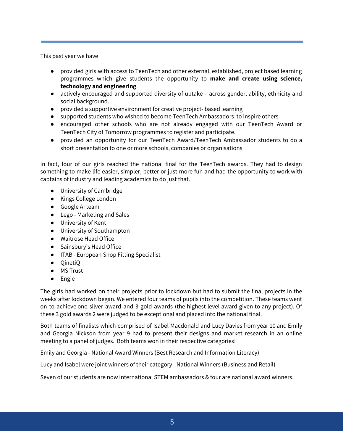This past year we have

- provided girls with access to TeenTech and other external, established, project based learning programmes which give students the opportunity to **make and create using science, technology and engineering**.
- actively encouraged and supported diversity of uptake across gender, ability, ethnicity and social background.
- provided a supportive environment for creative project- based learning
- supported students who wished to become TeenTech [Ambassadors](https://www.teentech.com/do-you-want-to-be-a-teentech-ambassador/) to inspire others
- encouraged other schools who are not already engaged with our TeenTech Award or TeenTech City of Tomorrow programmes to register and participate.
- provided an opportunity for our TeenTech Award/TeenTech Ambassador students to do a short presentation to one or more schools, companies or organisations

In fact, four of our girls reached the national final for the TeenTech awards. They had to design something to make life easier, simpler, better or just more fun and had the opportunity to work with captains of industry and leading academics to do just that.

- University of Cambridge
- Kings College London
- Google AI team
- Lego Marketing and Sales
- University of Kent
- University of Southampton
- Waitrose Head Office
- Sainsbury's Head Office
- ITAB European Shop Fitting Specialist
- QinetiQ
- MS Trust
- Engie

The girls had worked on their projects prior to lockdown but had to submit the final projects in the weeks after lockdown began. We entered four teams of pupils into the competition. These teams went on to achieve one silver award and 3 gold awards (the highest level award given to any project). Of these 3 gold awards 2 were judged to be exceptional and placed into the national final.

Both teams of finalists which comprised of Isabel Macdonald and Lucy Davies from year 10 and Emily and Georgia Nickson from year 9 had to present their designs and market research in an online meeting to a panel of judges. Both teams won in their respective categories!

Emily and Georgia - National Award Winners (Best Research and Information Literacy)

Lucy and Isabel were joint winners of their category - National Winners (Business and Retail)

Seven of our students are now international STEM ambassadors & four are national award winners.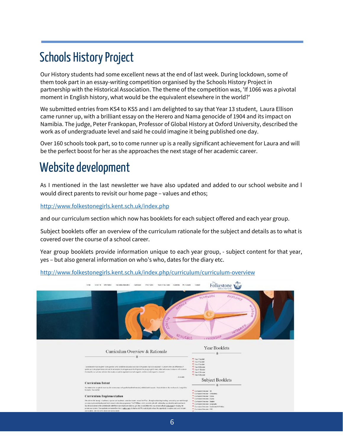### **Schools History Project**

Our History students had some excellent news at the end of last week. During lockdown, some of them took part in an essay-writing competition organised by the Schools History Project in partnership with the Historical Association. The theme of the competition was, 'If 1066 was a pivotal moment in English history, what would be the equivalent elsewhere in the world?'

We submitted entries from KS4 to KS5 and I am delighted to say that Year 13 student, Laura Ellison came runner up, with a brilliant essay on the Herero and Nama genocide of 1904 and its impact on Namibia. The judge, Peter Frankopan, Professor of Global History at Oxford University, described the work as of undergraduate level and said he could imagine it being published one day.

Over 160 schools took part, so to come runner up is a really significant achievement for Laura and will be the perfect boost for her as she approaches the next stage of her academic career.

## Website development

As I mentioned in the last newsletter we have also updated and added to our school website and I would direct parents to revisit our home page – values and ethos;

<http://www.folkestonegirls.kent.sch.uk/index.php>

and our curriculum section which now has booklets for each subject offered and each year group.

Subject booklets offer an overview of the curriculum rationale for the subject and details as to what is covered over the course of a school career.

Year group booklets provide information unique to each year group, - subject content for that year, yes – but also general information on who's who, dates for the diary etc.

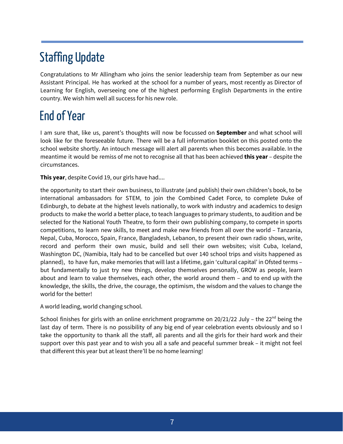## Staffing Update

Congratulations to Mr Allingham who joins the senior leadership team from September as our new Assistant Principal. He has worked at the school for a number of years, most recently as Director of Learning for English, overseeing one of the highest performing English Departments in the entire country. We wish him well all success for his new role.

### EndofYear

I am sure that, like us, parent's thoughts will now be focussed on **September** and what school will look like for the foreseeable future. There will be a full information booklet on this posted onto the school website shortly. An intouch message will alert all parents when this becomes available. In the meantime it would be remiss of me not to recognise all that has been achieved **this year** – despite the circumstances.

**This year**, despite Covid 19, our girls have had....

the opportunity to start their own business, to illustrate (and publish) their own children's book, to be international ambassadors for STEM, to join the Combined Cadet Force, to complete Duke of Edinburgh, to debate at the highest levels nationally, to work with industry and academics to design products to make the world a better place, to teach languages to primary students, to audition and be selected for the National Youth Theatre, to form their own publishing company, to compete in sports competitions, to learn new skills, to meet and make new friends from all over the world – Tanzania, Nepal, Cuba, Morocco, Spain, France, Bangladesh, Lebanon, to present their own radio shows, write, record and perform their own music, build and sell their own websites; visit Cuba, Iceland, Washington DC, (Namibia, Italy had to be cancelled but over 140 school trips and visits happened as planned), to have fun, make memories that will last a lifetime, gain 'cultural capital' in Ofsted terms – but fundamentally to just try new things, develop themselves personally, GROW as people, learn about and learn to value themselves, each other, the world around them – and to end up with the knowledge, the skills, the drive, the courage, the optimism, the wisdom and the values to change the world for the better!

A world leading, world changing school.

School finishes for girls with an online enrichment programme on  $20/21/22$  July - the  $22<sup>nd</sup>$  being the last day of term. There is no possibility of any big end of year celebration events obviously and so I take the opportunity to thank all the staff, all parents and all the girls for their hard work and their support over this past year and to wish you all a safe and peaceful summer break – it might not feel that different this year but at least there'll be no home learning!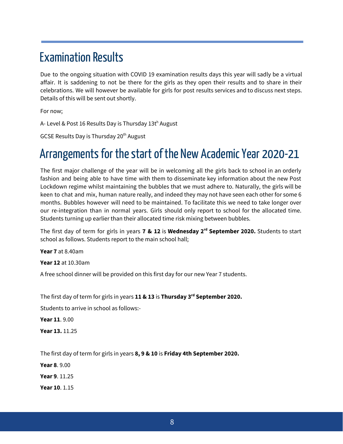#### **Examination Results**

Due to the ongoing situation with COVID 19 examination results days this year will sadly be a virtual affair. It is saddening to not be there for the girls as they open their results and to share in their celebrations. We will however be available for girls for post results services and to discuss next steps. Details of this will be sent out shortly.

For now;

A- Level & Post 16 Results Day is Thursday 13t<sup>h</sup> August

GCSE Results Day is Thursday 20<sup>th</sup> August

#### Arrangements for the start of the New Academic Year 2020-21

The first major challenge of the year will be in welcoming all the girls back to school in an orderly fashion and being able to have time with them to disseminate key information about the new Post Lockdown regime whilst maintaining the bubbles that we must adhere to. Naturally, the girls will be keen to chat and mix, human nature really, and indeed they may not have seen each other for some 6 months. Bubbles however will need to be maintained. To facilitate this we need to take longer over our re-integration than in normal years. Girls should only report to school for the allocated time. Students turning up earlier than their allocated time risk mixing between bubbles.

The first day of term for girls in years **7 & 12** is **Wednesday 2 rd September 2020.** Students to start school as follows. Students report to the main school hall;

**Year 7** at 8.40am

**Year 12** at 10.30am

A free school dinner will be provided on this first day for our new Year 7 students.

The first day of term for girls in years **11 & 13** is **Thursday 3 rd September 2020.**

Students to arrive in school as follows:-

**Year 11**. 9.00

**Year 13.** 11.25

The first day of term for girls in years **8, 9 & 10** is **Friday 4th September 2020.**

**Year 8**. 9.00

**Year 9**. 11.25

**Year 10**. 1.15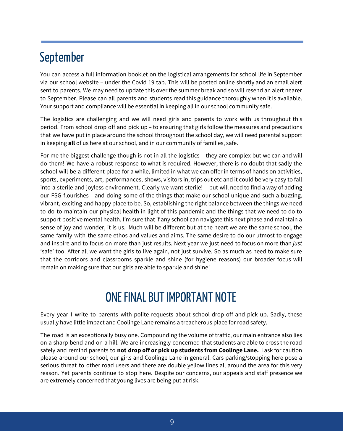#### September

You can access a full information booklet on the logistical arrangements for school life in September via our school website – under the Covid 19 tab. This will be posted online shortly and an email alert sent to parents. We may need to update this over the summer break and so will resend an alert nearer to September. Please can all parents and students read this guidance thoroughly when it is available. Your support and compliance will be essential in keeping all in our school community safe.

The logistics are challenging and we will need girls and parents to work with us throughout this period. From school drop off and pick up – to ensuring that girls follow the measures and precautions that we have put in place around the school throughout the school day, we will need parental support in keeping **all** of us here at our school, and in our community of families, safe.

For me the biggest challenge though is not in all the logistics – they are complex but we can and will do them! We have a robust response to what is required. However, there is no doubt that sadly the school will be a different place for a while, limited in what we can offer in terms of hands on activities, sports, experiments, art, performances, shows, visitors in, trips out etc and it could be very easy to fall into a sterile and joyless environment. Clearly we want sterile! - but will need to find a way of adding our FSG flourishes - and doing some of the things that make our school unique and such a buzzing, vibrant, exciting and happy place to be. So, establishing the right balance between the things we need to do to maintain our physical health in light of this pandemic and the things that we need to do to support positive mental health. I'm sure that if any school can navigate this next phase and maintain a sense of joy and wonder, it is us. Much will be different but at the heart we are the same school, the same family with the same ethos and values and aims. The same desire to do our utmost to engage and inspire and to focus on more than just results. Next year we just need to focus on more than *just* 'safe' too. After all we want the girls to live again, not just survive. So as much as need to make sure that the corridors and classrooms sparkle and shine (for hygiene reasons) our broader focus will remain on making sure that our girls are able to sparkle and shine!

### ONE FINAL BUT IMPORTANT NOTE

Every year I write to parents with polite requests about school drop off and pick up. Sadly, these usually have little impact and Coolinge Lane remains a treacherous place for road safety.

The road is an exceptionally busy one. Compounding the volume of traffic, our main entrance also lies on a sharp bend and on a hill. We are increasingly concerned that students are able to cross the road safely and remind parents to **not drop off or pick up students from Coolinge Lane.** I ask for caution please around our school, our girls and Coolinge Lane in general. Cars parking/stopping here pose a serious threat to other road users and there are double yellow lines all around the area for this very reason. Yet parents continue to stop here. Despite our concerns, our appeals and staff presence we are extremely concerned that young lives are being put at risk.